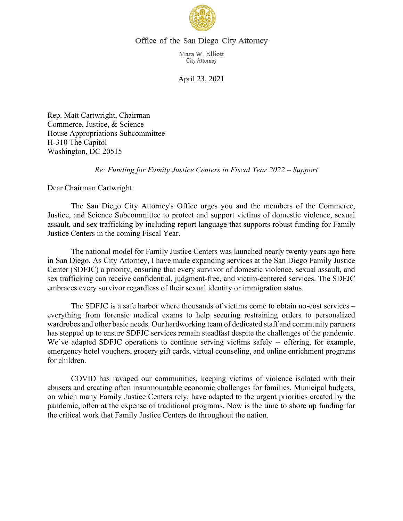

## Office of the San Diego City Attorney

Mara W. Elliott City Attorney

April 23, 2021

Rep. Matt Cartwright, Chairman Commerce, Justice, & Science House Appropriations Subcommittee H-310 The Capitol Washington, DC 20515

## *Re: Funding for Family Justice Centers in Fiscal Year 2022 – Support*

Dear Chairman Cartwright:

The San Diego City Attorney's Office urges you and the members of the Commerce, Justice, and Science Subcommittee to protect and support victims of domestic violence, sexual assault, and sex trafficking by including report language that supports robust funding for Family Justice Centers in the coming Fiscal Year.

The national model for Family Justice Centers was launched nearly twenty years ago here in San Diego. As City Attorney, I have made expanding services at the San Diego Family Justice Center (SDFJC) a priority, ensuring that every survivor of domestic violence, sexual assault, and sex trafficking can receive confidential, judgment-free, and victim-centered services. The SDFJC embraces every survivor regardless of their sexual identity or immigration status.

The SDFJC is a safe harbor where thousands of victims come to obtain no-cost services – everything from forensic medical exams to help securing restraining orders to personalized wardrobes and other basic needs. Our hardworking team of dedicated staff and community partners has stepped up to ensure SDFJC services remain steadfast despite the challenges of the pandemic. We've adapted SDFJC operations to continue serving victims safely -- offering, for example, emergency hotel vouchers, grocery gift cards, virtual counseling, and online enrichment programs for children.

COVID has ravaged our communities, keeping victims of violence isolated with their abusers and creating often insurmountable economic challenges for families. Municipal budgets, on which many Family Justice Centers rely, have adapted to the urgent priorities created by the pandemic, often at the expense of traditional programs. Now is the time to shore up funding for the critical work that Family Justice Centers do throughout the nation.